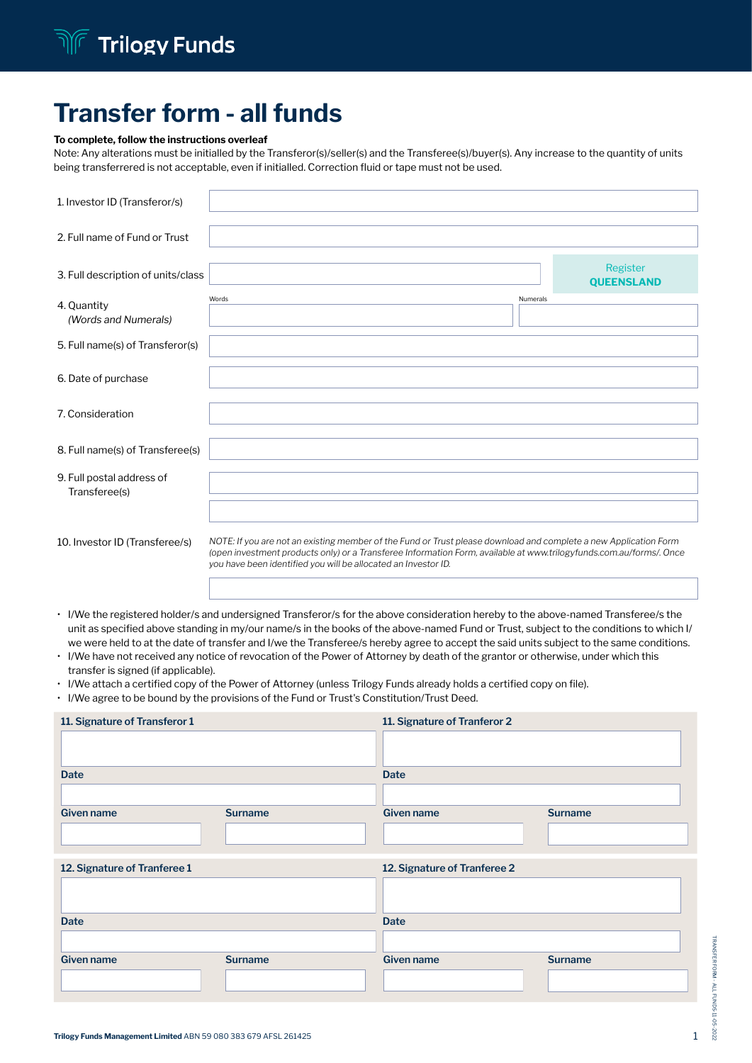# Transfer form - all funds

### To complete, follow the instructions overleaf

Note: Any alterations must be initialled by the Transferor(s)/seller(s) and the Transferee(s)/buyer(s). Any increase to the quantity of units being transferrered is not acceptable, even if initialled. Correction fluid or tape must not be used.

| 1. Investor ID (Transferor/s)              |                                                                                                                                                                                                                                                                                                           |          |                               |
|--------------------------------------------|-----------------------------------------------------------------------------------------------------------------------------------------------------------------------------------------------------------------------------------------------------------------------------------------------------------|----------|-------------------------------|
| 2. Full name of Fund or Trust              |                                                                                                                                                                                                                                                                                                           |          |                               |
| 3. Full description of units/class         |                                                                                                                                                                                                                                                                                                           |          | Register<br><b>QUEENSLAND</b> |
| 4. Quantity<br>(Words and Numerals)        | Words                                                                                                                                                                                                                                                                                                     | Numerals |                               |
| 5. Full name(s) of Transferor(s)           |                                                                                                                                                                                                                                                                                                           |          |                               |
| 6. Date of purchase                        |                                                                                                                                                                                                                                                                                                           |          |                               |
| 7. Consideration                           |                                                                                                                                                                                                                                                                                                           |          |                               |
| 8. Full name(s) of Transferee(s)           |                                                                                                                                                                                                                                                                                                           |          |                               |
| 9. Full postal address of<br>Transferee(s) |                                                                                                                                                                                                                                                                                                           |          |                               |
|                                            |                                                                                                                                                                                                                                                                                                           |          |                               |
| 10. Investor ID (Transferee/s)             | NOTE: If you are not an existing member of the Fund or Trust please download and complete a new Application Form<br>(open investment products only) or a Transferee Information Form, available at www.trilogyfunds.com.au/forms/. Once<br>you have been identified you will be allocated an Investor ID. |          |                               |

- I/We the registered holder/s and undersigned Transferor/s for the above consideration hereby to the above-named Transferee/s the unit as specified above standing in my/our name/s in the books of the above-named Fund or Trust, subject to the conditions to which I/ we were held to at the date of transfer and I/we the Transferee/s hereby agree to accept the said units subject to the same conditions.
- I/We have not received any notice of revocation of the Power of Attorney by death of the grantor or otherwise, under which this transfer is signed (if applicable).
- I/We attach a certified copy of the Power of Attorney (unless Trilogy Funds already holds a certified copy on file).
- I/We agree to be bound by the provisions of the Fund or Trust's Constitution/Trust Deed.

| 11. Signature of Transferor 1 |                | 11. Signature of Tranferor 2 |                |
|-------------------------------|----------------|------------------------------|----------------|
| <b>Date</b>                   |                | <b>Date</b>                  |                |
| <b>Given name</b>             | <b>Surname</b> | Given name                   | <b>Surname</b> |
| 12. Signature of Tranferee 1  |                | 12. Signature of Tranferee 2 |                |
| <b>Date</b>                   |                | <b>Date</b>                  |                |
| <b>Given name</b>             | <b>Surname</b> | Given name                   | <b>Surname</b> |